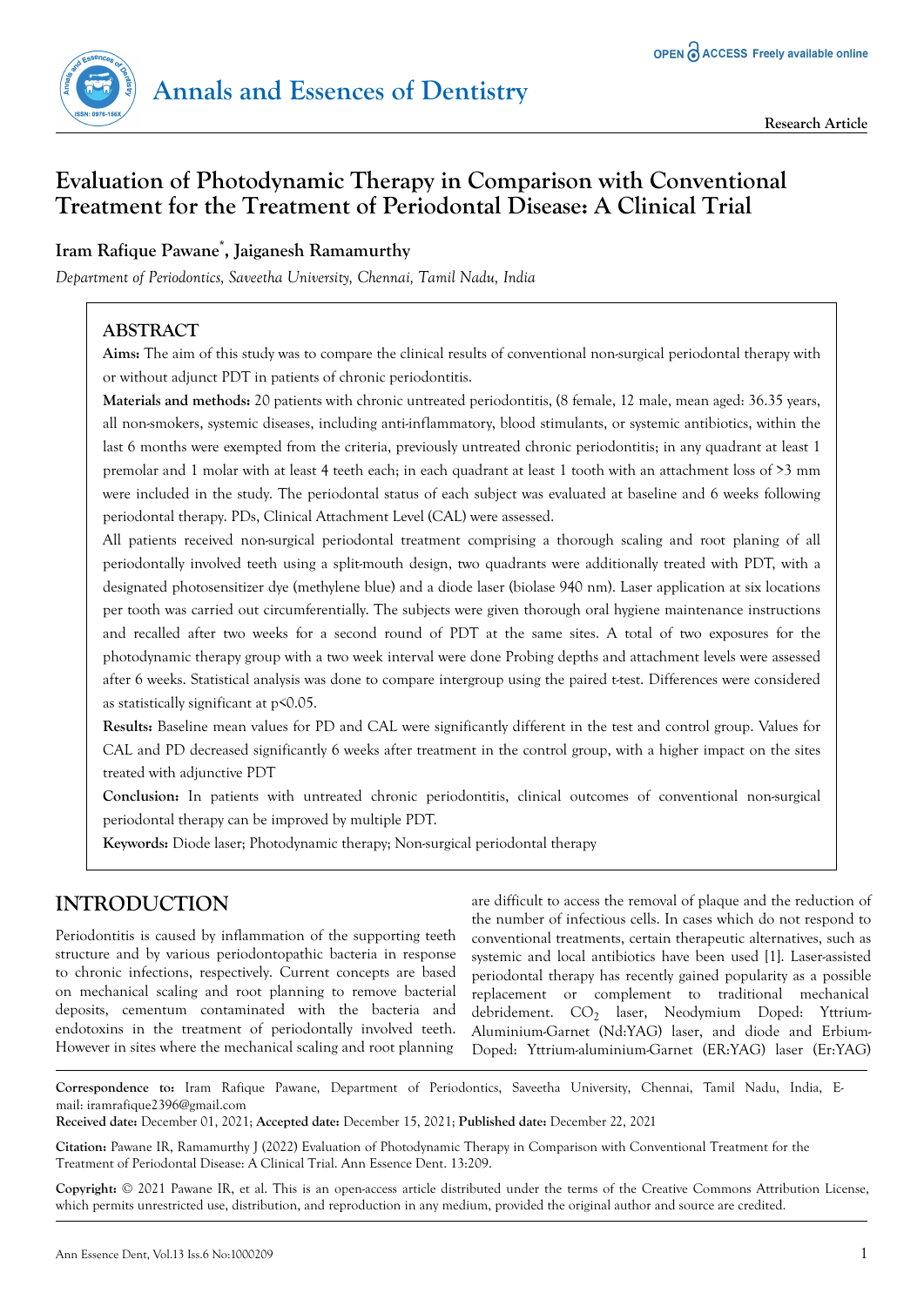# **Evaluation of Photodynamic Therapy in Comparison with Conventional Treatment for the Treatment of Periodontal Disease: A Clinical Trial**

# **Iram Rafique Pawane\* , Jaiganesh Ramamurthy**

*Department of Periodontics, Saveetha University, Chennai, Tamil Nadu, India*

# **ABSTRACT**

**Aims:** The aim of this study was to compare the clinical results of conventional non-surgical periodontal therapy with or without adjunct PDT in patients of chronic periodontitis.

**Materials and methods:** 20 patients with chronic untreated periodontitis, (8 female, 12 male, mean aged: 36.35 years, all non-smokers, systemic diseases, including anti-inflammatory, blood stimulants, or systemic antibiotics, within the last 6 months were exempted from the criteria, previously untreated chronic periodontitis; in any quadrant at least 1 premolar and 1 molar with at least 4 teeth each; in each quadrant at least 1 tooth with an attachment loss of >3 mm were included in the study. The periodontal status of each subject was evaluated at baseline and 6 weeks following periodontal therapy. PDs, Clinical Attachment Level (CAL) were assessed.

All patients received non-surgical periodontal treatment comprising a thorough scaling and root planing of all periodontally involved teeth using a split-mouth design, two quadrants were additionally treated with PDT, with a designated photosensitizer dye (methylene blue) and a diode laser (biolase 940 nm). Laser application at six locations per tooth was carried out circumferentially. The subjects were given thorough oral hygiene maintenance instructions and recalled after two weeks for a second round of PDT at the same sites. A total of two exposures for the photodynamic therapy group with a two week interval were done Probing depths and attachment levels were assessed after 6 weeks. Statistical analysis was done to compare intergroup using the paired t-test. Differences were considered as statistically significant at p<0.05.

**Results:** Baseline mean values for PD and CAL were significantly different in the test and control group. Values for CAL and PD decreased significantly 6 weeks after treatment in the control group, with a higher impact on the sites treated with adjunctive PDT

**Conclusion:** In patients with untreated chronic periodontitis, clinical outcomes of conventional non-surgical periodontal therapy can be improved by multiple PDT.

**Keywords:** Diode laser; Photodynamic therapy; Non-surgical periodontal therapy

# **INTRODUCTION**

Periodontitis is caused by inflammation of the supporting teeth structure and by various periodontopathic bacteria in response to chronic infections, respectively. Current concepts are based on mechanical scaling and root planning to remove bacterial deposits, cementum contaminated with the bacteria and endotoxins in the treatment of periodontally involved teeth. However in sites where the mechanical scaling and root planning

are difficult to access the removal of plaque and the reduction of the number of infectious cells. In cases which do not respond to conventional treatments, certain therapeutic alternatives, such as systemic and local antibiotics have been used [1]. Laser-assisted periodontal therapy has recently gained popularity as a possible replacement or complement to traditional mechanical debridement. CO<sub>2</sub> laser, Neodymium Doped: Yttrium-Aluminium-Garnet (Nd:YAG) laser, and diode and Erbium-Doped: Yttrium-aluminium-Garnet (ER:YAG) laser (Er:YAG)

**Correspondence to:** Iram Rafique Pawane, Department of Periodontics, Saveetha University, Chennai, Tamil Nadu, India, Email: iramrafique2396@gmail.com

**Received date:** December 01, 2021; **Accepted date:** December 15, 2021; **Published date:** December 22, 2021

**Citation:** Pawane IR, Ramamurthy J (2022) Evaluation of Photodynamic Therapy in Comparison with Conventional Treatment for the Treatment of Periodontal Disease: A Clinical Trial. Ann Essence Dent. 13:209.

**Copyright:** © 2021 Pawane IR, et al. This is an open-access article distributed under the terms of the Creative Commons Attribution License, which permits unrestricted use, distribution, and reproduction in any medium, provided the original author and source are credited.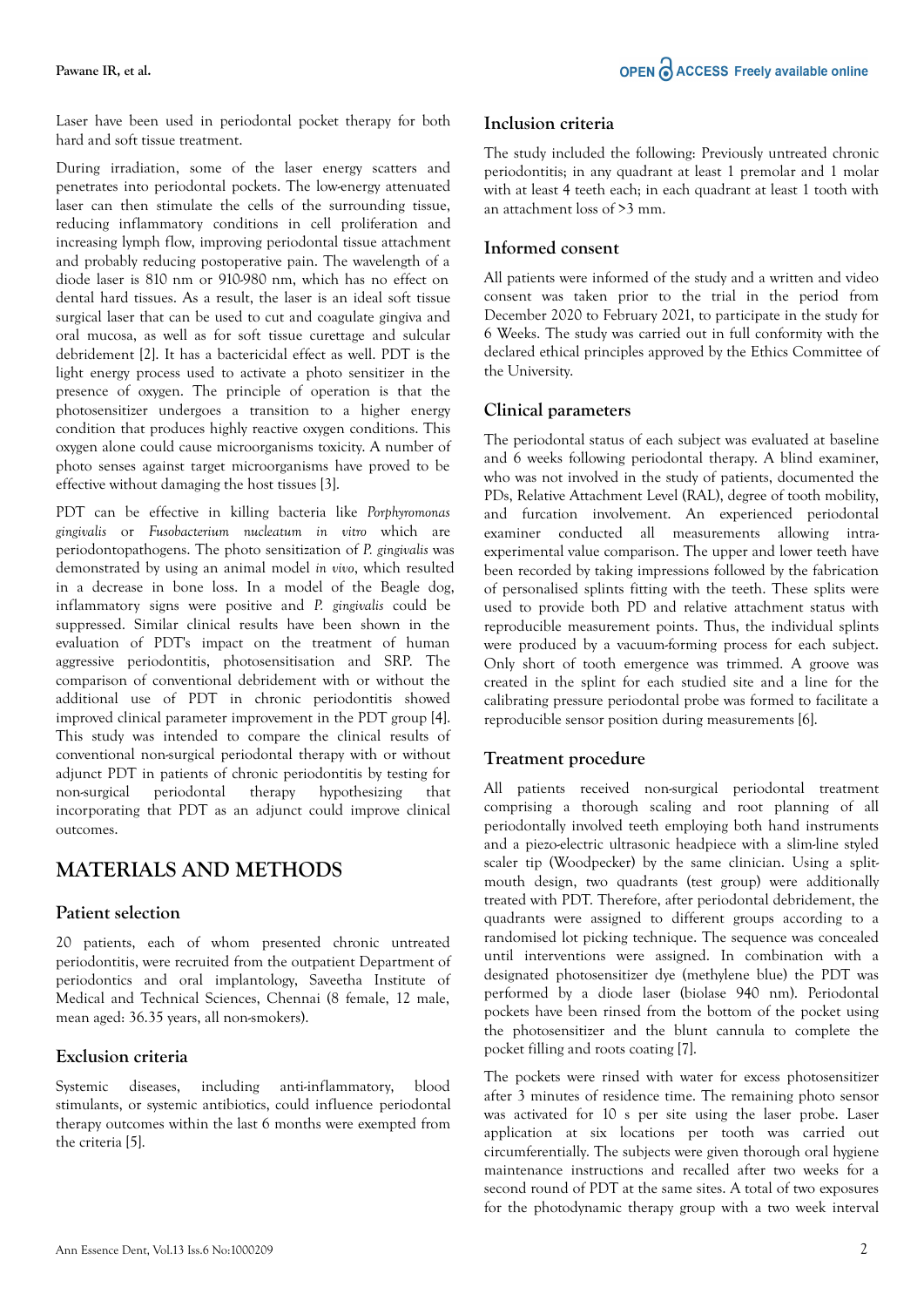#### **Pawane IR, et al.**

Laser have been used in periodontal pocket therapy for both hard and soft tissue treatment.

During irradiation, some of the laser energy scatters and penetrates into periodontal pockets. The low-energy attenuated laser can then stimulate the cells of the surrounding tissue, reducing inflammatory conditions in cell proliferation and increasing lymph flow, improving periodontal tissue attachment and probably reducing postoperative pain. The wavelength of a diode laser is 810 nm or 910-980 nm, which has no effect on dental hard tissues. As a result, the laser is an ideal soft tissue surgical laser that can be used to cut and coagulate gingiva and oral mucosa, as well as for soft tissue curettage and sulcular debridement [2]. It has a bactericidal effect as well. PDT is the light energy process used to activate a photo sensitizer in the presence of oxygen. The principle of operation is that the photosensitizer undergoes a transition to a higher energy condition that produces highly reactive oxygen conditions. This oxygen alone could cause microorganisms toxicity. A number of photo senses against target microorganisms have proved to be effective without damaging the host tissues [3].

PDT can be effective in killing bacteria like *Porphyromonas gingivalis* or *Fusobacterium nucleatum in vitro* which are periodontopathogens. The photo sensitization of *P. gingivalis* was demonstrated by using an animal model *in vivo*, which resulted in a decrease in bone loss. In a model of the Beagle dog, inflammatory signs were positive and *P. gingivalis* could be suppressed. Similar clinical results have been shown in the evaluation of PDT's impact on the treatment of human aggressive periodontitis, photosensitisation and SRP. The comparison of conventional debridement with or without the additional use of PDT in chronic periodontitis showed improved clinical parameter improvement in the PDT group [4]. This study was intended to compare the clinical results of conventional non-surgical periodontal therapy with or without adjunct PDT in patients of chronic periodontitis by testing for non-surgical periodontal therapy hypothesizing that incorporating that PDT as an adjunct could improve clinical outcomes.

# **MATERIALS AND METHODS**

### **Patient selection**

20 patients, each of whom presented chronic untreated periodontitis, were recruited from the outpatient Department of periodontics and oral implantology, Saveetha Institute of Medical and Technical Sciences, Chennai (8 female, 12 male, mean aged: 36.35 years, all non-smokers).

### **Exclusion criteria**

Systemic diseases, including anti-inflammatory, blood stimulants, or systemic antibiotics, could influence periodontal therapy outcomes within the last 6 months were exempted from the criteria [5].

#### **Inclusion criteria**

The study included the following: Previously untreated chronic periodontitis; in any quadrant at least 1 premolar and 1 molar with at least 4 teeth each; in each quadrant at least 1 tooth with an attachment loss of >3 mm.

### **Informed consent**

All patients were informed of the study and a written and video consent was taken prior to the trial in the period from December 2020 to February 2021, to participate in the study for 6 Weeks. The study was carried out in full conformity with the declared ethical principles approved by the Ethics Committee of the University.

#### **Clinical parameters**

The periodontal status of each subject was evaluated at baseline and 6 weeks following periodontal therapy. A blind examiner, who was not involved in the study of patients, documented the PDs, Relative Attachment Level (RAL), degree of tooth mobility, and furcation involvement. An experienced periodontal examiner conducted all measurements allowing intraexperimental value comparison. The upper and lower teeth have been recorded by taking impressions followed by the fabrication of personalised splints fitting with the teeth. These splits were used to provide both PD and relative attachment status with reproducible measurement points. Thus, the individual splints were produced by a vacuum-forming process for each subject. Only short of tooth emergence was trimmed. A groove was created in the splint for each studied site and a line for the calibrating pressure periodontal probe was formed to facilitate a reproducible sensor position during measurements [6].

### **Treatment procedure**

All patients received non-surgical periodontal treatment comprising a thorough scaling and root planning of all periodontally involved teeth employing both hand instruments and a piezo-electric ultrasonic headpiece with a slim-line styled scaler tip (Woodpecker) by the same clinician. Using a splitmouth design, two quadrants (test group) were additionally treated with PDT. Therefore, after periodontal debridement, the quadrants were assigned to different groups according to a randomised lot picking technique. The sequence was concealed until interventions were assigned. In combination with a designated photosensitizer dye (methylene blue) the PDT was performed by a diode laser (biolase 940 nm). Periodontal pockets have been rinsed from the bottom of the pocket using the photosensitizer and the blunt cannula to complete the pocket filling and roots coating [7].

The pockets were rinsed with water for excess photosensitizer after 3 minutes of residence time. The remaining photo sensor was activated for 10 s per site using the laser probe. Laser application at six locations per tooth was carried out circumferentially. The subjects were given thorough oral hygiene maintenance instructions and recalled after two weeks for a second round of PDT at the same sites. A total of two exposures for the photodynamic therapy group with a two week interval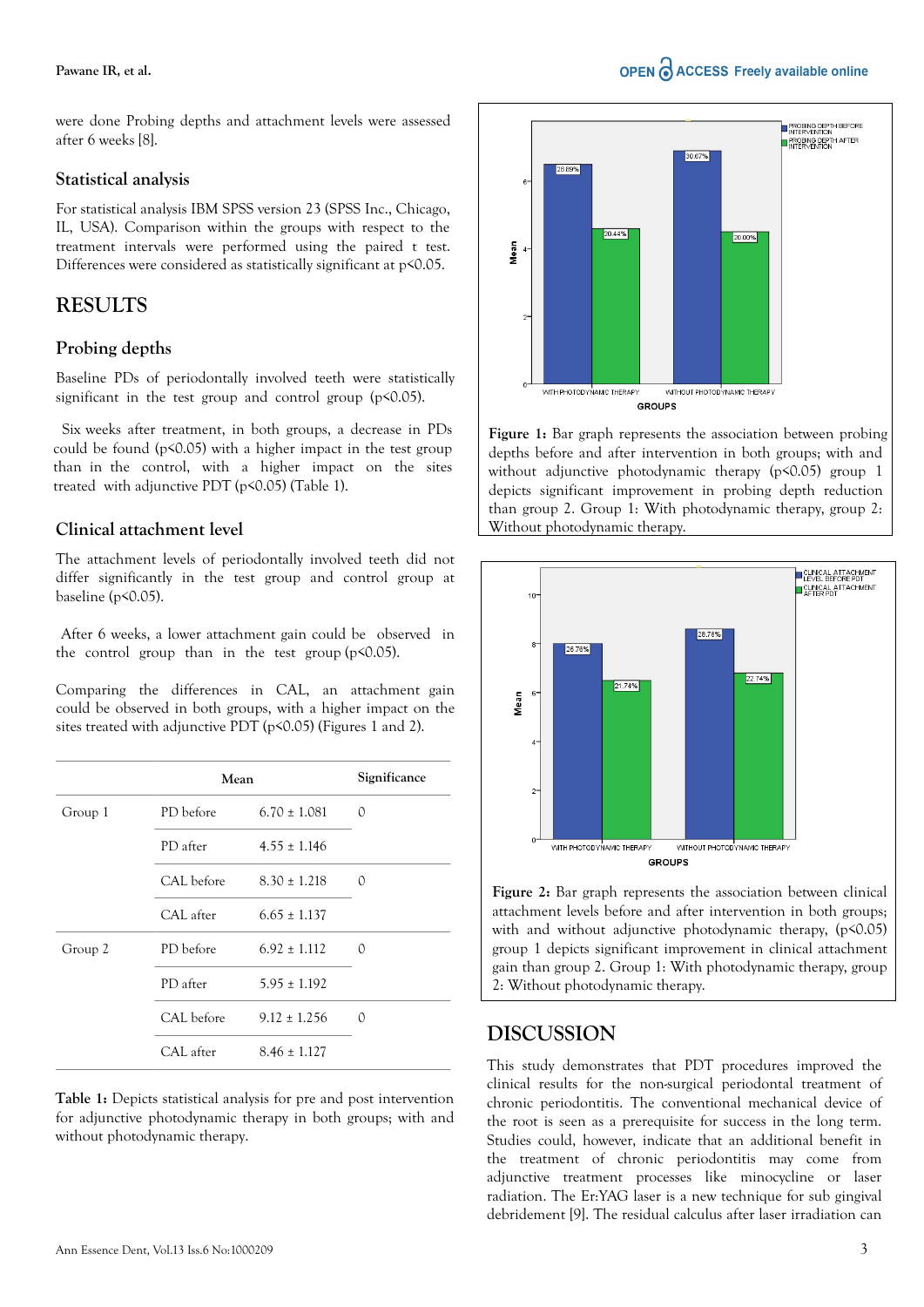#### **Pawane IR, et al.**

were done Probing depths and attachment levels were assessed after 6 weeks [8].

#### **Statistical analysis**

For statistical analysis IBM SPSS version 23 (SPSS Inc., Chicago, IL, USA). Comparison within the groups with respect to the treatment intervals were performed using the paired t test. Differences were considered as statistically significant at  $p$ <0.05.

# **RESULTS**

### **Probing depths**

Baseline PDs of periodontally involved teeth were statistically significant in the test group and control group  $(p<0.05)$ .

Six weeks after treatment, in both groups, a decrease in PDs could be found (p<0.05) with a higher impact in the test group than in the control, with a higher impact on the sites treated with adjunctive PDT (p<0.05) (Table 1).

### **Clinical attachment level**

The attachment levels of periodontally involved teeth did not differ significantly in the test group and control group at baseline (p<0.05).

 After 6 weeks, a lower attachment gain could be observed in the control group than in the test group  $(p<0.05)$ .

Comparing the differences in CAL, an attachment gain could be observed in both groups, with a higher impact on the sites treated with adjunctive PDT (p<0.05) (Figures 1 and 2).

|         | Mean       |                  |   |
|---------|------------|------------------|---|
| Group 1 | PD before  | $6.70 \pm 1.081$ | 0 |
|         | PD after   | $4.55 \pm 1.146$ |   |
|         | CAL before | $8.30 \pm 1.218$ | 0 |
|         | CAL after  | $6.65 \pm 1.137$ |   |
| Group 2 | PD before  | $6.92 \pm 1.112$ | 0 |
|         | PD after   | $5.95 \pm 1.192$ |   |
|         | CAL before | $9.12 \pm 1.256$ | Ω |
|         | CAL after  | $8.46 \pm 1.127$ |   |

**Table 1:** Depicts statistical analysis for pre and post intervention for adjunctive photodynamic therapy in both groups; with and without photodynamic therapy.



**Figure 1:** Bar graph represents the association between probing depths before and after intervention in both groups; with and without adjunctive photodynamic therapy (p<0.05) group 1 depicts significant improvement in probing depth reduction than group 2. Group 1: With photodynamic therapy, group 2: Without photodynamic therapy.



**Figure 2:** Bar graph represents the association between clinical attachment levels before and after intervention in both groups; with and without adjunctive photodynamic therapy, (p<0.05) group 1 depicts significant improvement in clinical attachment gain than group 2. Group 1: With photodynamic therapy, group 2: Without photodynamic therapy.

# **DISCUSSION**

This study demonstrates that PDT procedures improved the clinical results for the non-surgical periodontal treatment of chronic periodontitis. The conventional mechanical device of the root is seen as a prerequisite for success in the long term. Studies could, however, indicate that an additional benefit in the treatment of chronic periodontitis may come from adjunctive treatment processes like minocycline or laser radiation. The Er:YAG laser is a new technique for sub gingival debridement [9]. The residual calculus after laser irradiation can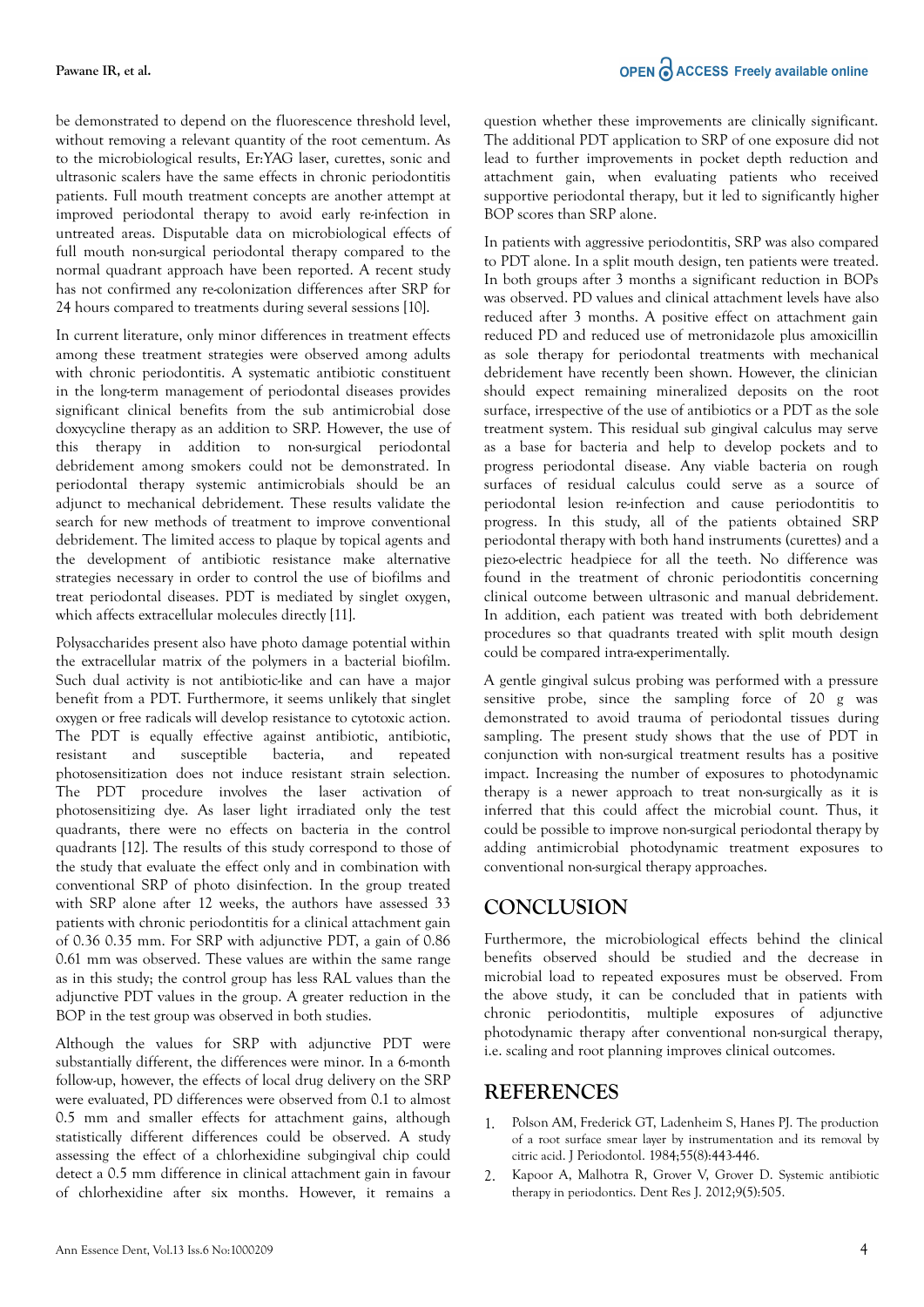be demonstrated to depend on the fluorescence threshold level, without removing a relevant quantity of the root cementum. As to the microbiological results, Er:YAG laser, curettes, sonic and ultrasonic scalers have the same effects in chronic periodontitis patients. Full mouth treatment concepts are another attempt at improved periodontal therapy to avoid early re-infection in untreated areas. Disputable data on microbiological effects of full mouth non-surgical periodontal therapy compared to the normal quadrant approach have been reported. A recent study has not confirmed any re-colonization differences after SRP for 24 hours compared to treatments during several sessions [10].

In current literature, only minor differences in treatment effects among these treatment strategies were observed among adults with chronic periodontitis. A systematic antibiotic constituent in the long-term management of periodontal diseases provides significant clinical benefits from the sub antimicrobial dose doxycycline therapy as an addition to SRP. However, the use of this therapy in addition to non-surgical periodontal debridement among smokers could not be demonstrated. In periodontal therapy systemic antimicrobials should be an adjunct to mechanical debridement. These results validate the search for new methods of treatment to improve conventional debridement. The limited access to plaque by topical agents and the development of antibiotic resistance make alternative strategies necessary in order to control the use of biofilms and treat periodontal diseases. PDT is mediated by singlet oxygen, which affects extracellular molecules directly [11].

Polysaccharides present also have photo damage potential within the extracellular matrix of the polymers in a bacterial biofilm. Such dual activity is not antibiotic-like and can have a major benefit from a PDT. Furthermore, it seems unlikely that singlet oxygen or free radicals will develop resistance to cytotoxic action. The PDT is equally effective against antibiotic, antibiotic, resistant and susceptible bacteria, and repeated photosensitization does not induce resistant strain selection. The PDT procedure involves the laser activation of photosensitizing dye. As laser light irradiated only the test quadrants, there were no effects on bacteria in the control quadrants [12]. The results of this study correspond to those of the study that evaluate the effect only and in combination with conventional SRP of photo disinfection. In the group treated with SRP alone after 12 weeks, the authors have assessed 33 patients with chronic periodontitis for a clinical attachment gain of 0.36 0.35 mm. For SRP with adjunctive PDT, a gain of 0.86 0.61 mm was observed. These values are within the same range as in this study; the control group has less RAL values than the adjunctive PDT values in the group. A greater reduction in the BOP in the test group was observed in both studies.

Although the values for SRP with adjunctive PDT were substantially different, the differences were minor. In a 6-month follow-up, however, the effects of local drug delivery on the SRP were evaluated, PD differences were observed from 0.1 to almost 0.5 mm and smaller effects for attachment gains, although statistically different differences could be observed. A study assessing the effect of a chlorhexidine subgingival chip could detect a 0.5 mm difference in clinical attachment gain in favour of chlorhexidine after six months. However, it remains a question whether these improvements are clinically significant. The additional PDT application to SRP of one exposure did not lead to further improvements in pocket depth reduction and attachment gain, when evaluating patients who received supportive periodontal therapy, but it led to significantly higher BOP scores than SRP alone.

In patients with aggressive periodontitis, SRP was also compared to PDT alone. In a split mouth design, ten patients were treated. In both groups after 3 months a significant reduction in BOPs was observed. PD values and clinical attachment levels have also reduced after 3 months. A positive effect on attachment gain reduced PD and reduced use of metronidazole plus amoxicillin as sole therapy for periodontal treatments with mechanical debridement have recently been shown. However, the clinician should expect remaining mineralized deposits on the root surface, irrespective of the use of antibiotics or a PDT as the sole treatment system. This residual sub gingival calculus may serve as a base for bacteria and help to develop pockets and to progress periodontal disease. Any viable bacteria on rough surfaces of residual calculus could serve as a source of periodontal lesion re-infection and cause periodontitis to progress. In this study, all of the patients obtained SRP periodontal therapy with both hand instruments (curettes) and a piezo-electric headpiece for all the teeth. No difference was found in the treatment of chronic periodontitis concerning clinical outcome between ultrasonic and manual debridement. In addition, each patient was treated with both debridement procedures so that quadrants treated with split mouth design could be compared intra-experimentally.

A gentle gingival sulcus probing was performed with a pressure sensitive probe, since the sampling force of 20 g was demonstrated to avoid trauma of periodontal tissues during sampling. The present study shows that the use of PDT in conjunction with non-surgical treatment results has a positive impact. Increasing the number of exposures to photodynamic therapy is a newer approach to treat non-surgically as it is inferred that this could affect the microbial count. Thus, it could be possible to improve non-surgical periodontal therapy by adding antimicrobial photodynamic treatment exposures to conventional non-surgical therapy approaches.

# **CONCLUSION**

Furthermore, the microbiological effects behind the clinical benefits observed should be studied and the decrease in microbial load to repeated exposures must be observed. From the above study, it can be concluded that in patients with chronic periodontitis, multiple exposures of adjunctive photodynamic therapy after conventional non-surgical therapy, i.e. scaling and root planning improves clinical outcomes.

# **REFERENCES**

- 1. Polson AM, Frederick GT, Ladenheim S, Hanes PJ. [The production](https://aap.onlinelibrary.wiley.com/doi/10.1902/jop.1984.55.8.443) [of a root surface smear layer by instrumentation and its removal by](https://aap.onlinelibrary.wiley.com/doi/10.1902/jop.1984.55.8.443) [citric acid](https://aap.onlinelibrary.wiley.com/doi/10.1902/jop.1984.55.8.443). J Periodontol. 1984;55(8):443-446.
- 2. Kapoor A, Malhotra R, Grover V, Grover D. [Systemic antibiotic](https://onlinelibrary.wiley.com/doi/full/10.1111/j.1834-7819.2009.01147.x) [therapy in periodontics](https://onlinelibrary.wiley.com/doi/full/10.1111/j.1834-7819.2009.01147.x). Dent Res J. 2012;9(5):505.